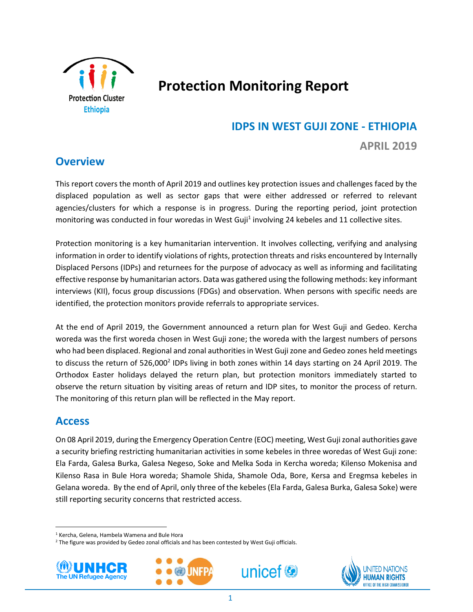

# **Protection Monitoring Report**

# **IDPS IN WEST GUJI ZONE - ETHIOPIA**

**APRIL 2019**

**Overview**

This report covers the month of April 2019 and outlines key protection issues and challenges faced by the displaced population as well as sector gaps that were either addressed or referred to relevant agencies/clusters for which a response is in progress. During the reporting period, joint protection monitoring was conducted in four woredas in West Guji<sup>1</sup> involving 24 kebeles and 11 collective sites.

Protection monitoring is a key humanitarian intervention. It involves collecting, verifying and analysing information in order to identify violations of rights, protection threats and risks encountered by Internally Displaced Persons (IDPs) and returnees for the purpose of advocacy as well as informing and facilitating effective response by humanitarian actors. Data was gathered using the following methods: key informant interviews (KII), focus group discussions (FDGs) and observation. When persons with specific needs are identified, the protection monitors provide referrals to appropriate services.

At the end of April 2019, the Government announced a return plan for West Guji and Gedeo. Kercha woreda was the first woreda chosen in West Guji zone; the woreda with the largest numbers of persons who had been displaced. Regional and zonal authorities in West Guji zone and Gedeo zones held meetings to discuss the return of 526,000<sup>2</sup> IDPs living in both zones within 14 days starting on 24 April 2019. The Orthodox Easter holidays delayed the return plan, but protection monitors immediately started to observe the return situation by visiting areas of return and IDP sites, to monitor the process of return. The monitoring of this return plan will be reflected in the May report.

# **Access**

On 08 April 2019, during the Emergency Operation Centre (EOC) meeting, West Guji zonal authorities gave a security briefing restricting humanitarian activities in some kebeles in three woredas of West Guji zone: Ela Farda, Galesa Burka, Galesa Negeso, Soke and Melka Soda in Kercha woreda; Kilenso Mokenisa and Kilenso Rasa in Bule Hora woreda; Shamole Shida, Shamole Oda, Bore, Kersa and Eregmsa kebeles in Gelana woreda. By the end of April, only three of the kebeles (Ela Farda, Galesa Burka, Galesa Soke) were still reporting security concerns that restricted access.

<sup>&</sup>lt;sup>2</sup> The figure was provided by Gedeo zonal officials and has been contested by West Guji officials.



l,

 $\overline{\phantom{a}}$ 







<sup>1</sup> Kercha, Gelena, Hambela Wamena and Bule Hora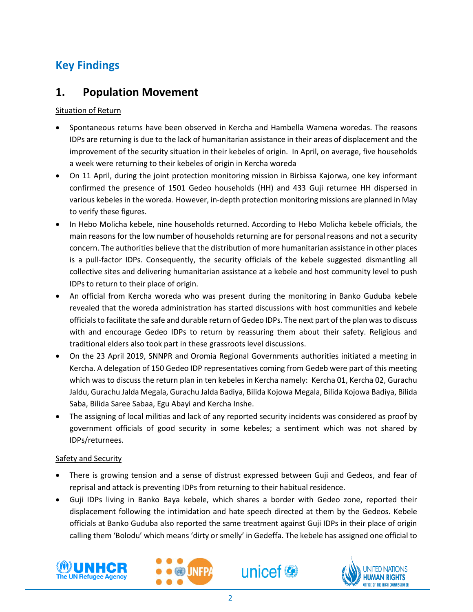# **Key Findings**

# **1. Population Movement**

# Situation of Return

- Spontaneous returns have been observed in Kercha and Hambella Wamena woredas. The reasons IDPs are returning is due to the lack of humanitarian assistance in their areas of displacement and the improvement of the security situation in their kebeles of origin. In April, on average, five households a week were returning to their kebeles of origin in Kercha woreda
- On 11 April, during the joint protection monitoring mission in Birbissa Kajorwa, one key informant confirmed the presence of 1501 Gedeo households (HH) and 433 Guji returnee HH dispersed in various kebeles in the woreda. However, in-depth protection monitoring missions are planned in May to verify these figures.
- In Hebo Molicha kebele, nine households returned. According to Hebo Molicha kebele officials, the main reasons for the low number of households returning are for personal reasons and not a security concern. The authorities believe that the distribution of more humanitarian assistance in other places is a pull-factor IDPs. Consequently, the security officials of the kebele suggested dismantling all collective sites and delivering humanitarian assistance at a kebele and host community level to push IDPs to return to their place of origin.
- An official from Kercha woreda who was present during the monitoring in Banko Guduba kebele revealed that the woreda administration has started discussions with host communities and kebele officials to facilitate the safe and durable return of Gedeo IDPs. The next part of the plan was to discuss with and encourage Gedeo IDPs to return by reassuring them about their safety. Religious and traditional elders also took part in these grassroots level discussions.
- On the 23 April 2019, SNNPR and Oromia Regional Governments authorities initiated a meeting in Kercha. A delegation of 150 Gedeo IDP representatives coming from Gedeb were part of this meeting which was to discuss the return plan in ten kebeles in Kercha namely: Kercha 01, Kercha 02, Gurachu Jaldu, Gurachu Jalda Megala, Gurachu Jalda Badiya, Bilida Kojowa Megala, Bilida Kojowa Badiya, Bilida Saba, Bilida Saree Sabaa, Egu Abayi and Kercha Inshe.
- The assigning of local militias and lack of any reported security incidents was considered as proof by government officials of good security in some kebeles; a sentiment which was not shared by IDPs/returnees.

# Safety and Security

- There is growing tension and a sense of distrust expressed between Guji and Gedeos, and fear of reprisal and attack is preventing IDPs from returning to their habitual residence.
- Guji IDPs living in Banko Baya kebele, which shares a border with Gedeo zone, reported their displacement following the intimidation and hate speech directed at them by the Gedeos. Kebele officials at Banko Guduba also reported the same treatment against Guji IDPs in their place of origin calling them 'Bolodu' which means 'dirty or smelly' in Gedeffa. The kebele has assigned one official to







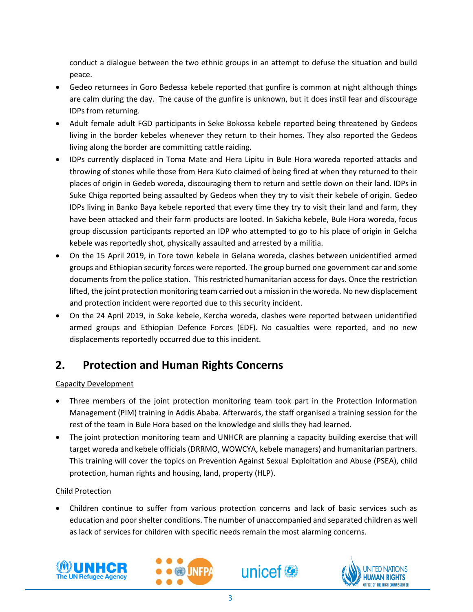conduct a dialogue between the two ethnic groups in an attempt to defuse the situation and build peace.

- Gedeo returnees in Goro Bedessa kebele reported that gunfire is common at night although things are calm during the day. The cause of the gunfire is unknown, but it does instil fear and discourage IDPs from returning.
- Adult female adult FGD participants in Seke Bokossa kebele reported being threatened by Gedeos living in the border kebeles whenever they return to their homes. They also reported the Gedeos living along the border are committing cattle raiding.
- IDPs currently displaced in Toma Mate and Hera Lipitu in Bule Hora woreda reported attacks and throwing of stones while those from Hera Kuto claimed of being fired at when they returned to their places of origin in Gedeb woreda, discouraging them to return and settle down on their land. IDPs in Suke Chiga reported being assaulted by Gedeos when they try to visit their kebele of origin. Gedeo IDPs living in Banko Baya kebele reported that every time they try to visit their land and farm, they have been attacked and their farm products are looted. In Sakicha kebele, Bule Hora woreda, focus group discussion participants reported an IDP who attempted to go to his place of origin in Gelcha kebele was reportedly shot, physically assaulted and arrested by a militia.
- On the 15 April 2019, in Tore town kebele in Gelana woreda, clashes between unidentified armed groups and Ethiopian security forces were reported. The group burned one government car and some documents from the police station. This restricted humanitarian access for days. Once the restriction lifted, the joint protection monitoring team carried out a mission in the woreda. No new displacement and protection incident were reported due to this security incident.
- On the 24 April 2019, in Soke kebele, Kercha woreda, clashes were reported between unidentified armed groups and Ethiopian Defence Forces (EDF). No casualties were reported, and no new displacements reportedly occurred due to this incident.

# **2. Protection and Human Rights Concerns**

# Capacity Development

- Three members of the joint protection monitoring team took part in the Protection Information Management (PIM) training in Addis Ababa. Afterwards, the staff organised a training session for the rest of the team in Bule Hora based on the knowledge and skills they had learned.
- The joint protection monitoring team and UNHCR are planning a capacity building exercise that will target woreda and kebele officials (DRRMO, WOWCYA, kebele managers) and humanitarian partners. This training will cover the topics on Prevention Against Sexual Exploitation and Abuse (PSEA), child protection, human rights and housing, land, property (HLP).

# Child Protection

• Children continue to suffer from various protection concerns and lack of basic services such as education and poor shelter conditions. The number of unaccompanied and separated children as well as lack of services for children with specific needs remain the most alarming concerns.







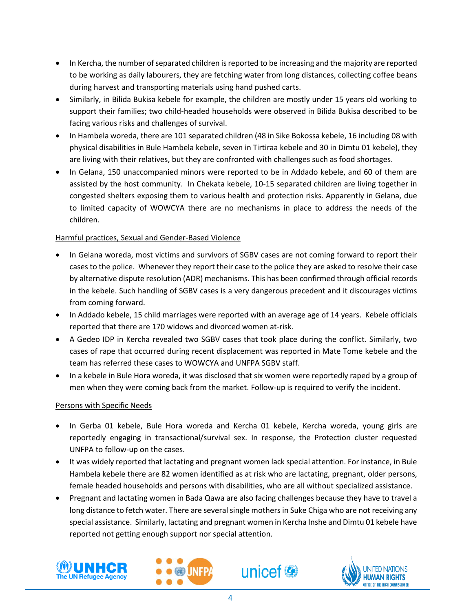- In Kercha, the number of separated children is reported to be increasing and the majority are reported to be working as daily labourers, they are fetching water from long distances, collecting coffee beans during harvest and transporting materials using hand pushed carts.
- Similarly, in Bilida Bukisa kebele for example, the children are mostly under 15 years old working to support their families; two child-headed households were observed in Bilida Bukisa described to be facing various risks and challenges of survival.
- In Hambela woreda, there are 101 separated children (48 in Sike Bokossa kebele, 16 including 08 with physical disabilities in Bule Hambela kebele, seven in Tirtiraa kebele and 30 in Dimtu 01 kebele), they are living with their relatives, but they are confronted with challenges such as food shortages.
- In Gelana, 150 unaccompanied minors were reported to be in Addado kebele, and 60 of them are assisted by the host community. In Chekata kebele, 10-15 separated children are living together in congested shelters exposing them to various health and protection risks. Apparently in Gelana, due to limited capacity of WOWCYA there are no mechanisms in place to address the needs of the children.

# Harmful practices, Sexual and Gender-Based Violence

- In Gelana woreda, most victims and survivors of SGBV cases are not coming forward to report their cases to the police. Whenever they report their case to the police they are asked to resolve their case by alternative dispute resolution (ADR) mechanisms. This has been confirmed through official records in the kebele. Such handling of SGBV cases is a very dangerous precedent and it discourages victims from coming forward.
- In Addado kebele, 15 child marriages were reported with an average age of 14 years. Kebele officials reported that there are 170 widows and divorced women at-risk.
- A Gedeo IDP in Kercha revealed two SGBV cases that took place during the conflict. Similarly, two cases of rape that occurred during recent displacement was reported in Mate Tome kebele and the team has referred these cases to WOWCYA and UNFPA SGBV staff.
- In a kebele in Bule Hora woreda, it was disclosed that six women were reportedly raped by a group of men when they were coming back from the market. Follow-up is required to verify the incident.

# Persons with Specific Needs

- In Gerba 01 kebele, Bule Hora woreda and Kercha 01 kebele, Kercha woreda, young girls are reportedly engaging in transactional/survival sex. In response, the Protection cluster requested UNFPA to follow-up on the cases.
- It was widely reported that lactating and pregnant women lack special attention. For instance, in Bule Hambela kebele there are 82 women identified as at risk who are lactating, pregnant, older persons, female headed households and persons with disabilities, who are all without specialized assistance.
- Pregnant and lactating women in Bada Qawa are also facing challenges because they have to travel a long distance to fetch water. There are several single mothers in Suke Chiga who are not receiving any special assistance. Similarly, lactating and pregnant women in Kercha Inshe and Dimtu 01 kebele have reported not getting enough support nor special attention.







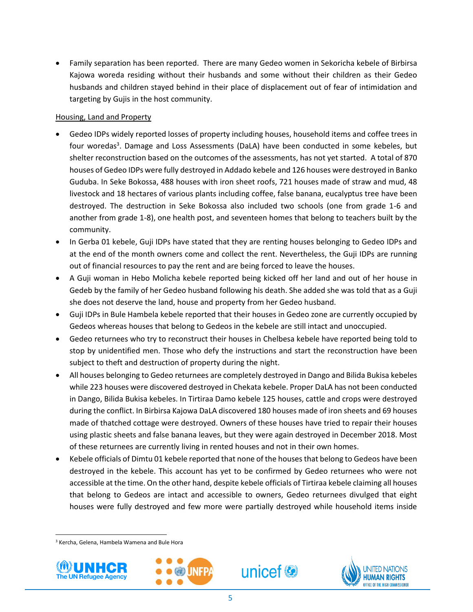• Family separation has been reported. There are many Gedeo women in Sekoricha kebele of Birbirsa Kajowa woreda residing without their husbands and some without their children as their Gedeo husbands and children stayed behind in their place of displacement out of fear of intimidation and targeting by Gujis in the host community.

## Housing, Land and Property

- Gedeo IDPs widely reported losses of property including houses, household items and coffee trees in four woredas<sup>3</sup>. Damage and Loss Assessments (DaLA) have been conducted in some kebeles, but shelter reconstruction based on the outcomes of the assessments, has not yet started. A total of 870 houses of Gedeo IDPs were fully destroyed in Addado kebele and 126 houses were destroyed in Banko Guduba. In Seke Bokossa, 488 houses with iron sheet roofs, 721 houses made of straw and mud, 48 livestock and 18 hectares of various plants including coffee, false banana, eucalyptus tree have been destroyed. The destruction in Seke Bokossa also included two schools (one from grade 1-6 and another from grade 1-8), one health post, and seventeen homes that belong to teachers built by the community.
- In Gerba 01 kebele, Guji IDPs have stated that they are renting houses belonging to Gedeo IDPs and at the end of the month owners come and collect the rent. Nevertheless, the Guji IDPs are running out of financial resources to pay the rent and are being forced to leave the houses.
- A Guji woman in Hebo Molicha kebele reported being kicked off her land and out of her house in Gedeb by the family of her Gedeo husband following his death. She added she was told that as a Guji she does not deserve the land, house and property from her Gedeo husband.
- Guji IDPs in Bule Hambela kebele reported that their houses in Gedeo zone are currently occupied by Gedeos whereas houses that belong to Gedeos in the kebele are still intact and unoccupied.
- Gedeo returnees who try to reconstruct their houses in Chelbesa kebele have reported being told to stop by unidentified men. Those who defy the instructions and start the reconstruction have been subject to theft and destruction of property during the night.
- All houses belonging to Gedeo returnees are completely destroyed in Dango and Bilida Bukisa kebeles while 223 houses were discovered destroyed in Chekata kebele. Proper DaLA has not been conducted in Dango, Bilida Bukisa kebeles. In Tirtiraa Damo kebele 125 houses, cattle and crops were destroyed during the conflict. In Birbirsa Kajowa DaLA discovered 180 houses made of iron sheets and 69 houses made of thatched cottage were destroyed. Owners of these houses have tried to repair their houses using plastic sheets and false banana leaves, but they were again destroyed in December 2018. Most of these returnees are currently living in rented houses and not in their own homes.
- Kebele officials of Dimtu 01 kebele reported that none of the houses that belong to Gedeos have been destroyed in the kebele. This account has yet to be confirmed by Gedeo returnees who were not accessible at the time. On the other hand, despite kebele officials of Tirtiraa kebele claiming all houses that belong to Gedeos are intact and accessible to owners, Gedeo returnees divulged that eight houses were fully destroyed and few more were partially destroyed while household items inside

<sup>3</sup> Kercha, Gelena, Hambela Wamena and Bule Hora



l,

 $\overline{\phantom{a}}$ 





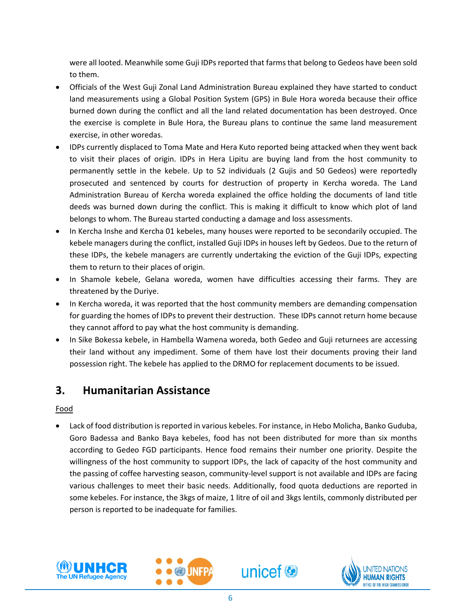were all looted. Meanwhile some Guji IDPs reported that farms that belong to Gedeos have been sold to them.

- Officials of the West Guji Zonal Land Administration Bureau explained they have started to conduct land measurements using a Global Position System (GPS) in Bule Hora woreda because their office burned down during the conflict and all the land related documentation has been destroyed. Once the exercise is complete in Bule Hora, the Bureau plans to continue the same land measurement exercise, in other woredas.
- IDPs currently displaced to Toma Mate and Hera Kuto reported being attacked when they went back to visit their places of origin. IDPs in Hera Lipitu are buying land from the host community to permanently settle in the kebele. Up to 52 individuals (2 Gujis and 50 Gedeos) were reportedly prosecuted and sentenced by courts for destruction of property in Kercha woreda. The Land Administration Bureau of Kercha woreda explained the office holding the documents of land title deeds was burned down during the conflict. This is making it difficult to know which plot of land belongs to whom. The Bureau started conducting a damage and loss assessments.
- In Kercha Inshe and Kercha 01 kebeles, many houses were reported to be secondarily occupied. The kebele managers during the conflict, installed Guji IDPs in houses left by Gedeos. Due to the return of these IDPs, the kebele managers are currently undertaking the eviction of the Guji IDPs, expecting them to return to their places of origin.
- In Shamole kebele, Gelana woreda, women have difficulties accessing their farms. They are threatened by the Duriye.
- In Kercha woreda, it was reported that the host community members are demanding compensation for guarding the homes of IDPs to prevent their destruction. These IDPs cannot return home because they cannot afford to pay what the host community is demanding.
- In Sike Bokessa kebele, in Hambella Wamena woreda, both Gedeo and Guji returnees are accessing their land without any impediment. Some of them have lost their documents proving their land possession right. The kebele has applied to the DRMO for replacement documents to be issued.

# **3. Humanitarian Assistance**

Food

• Lack of food distribution is reported in various kebeles. For instance, in Hebo Molicha, Banko Guduba, Goro Badessa and Banko Baya kebeles, food has not been distributed for more than six months according to Gedeo FGD participants. Hence food remains their number one priority. Despite the willingness of the host community to support IDPs, the lack of capacity of the host community and the passing of coffee harvesting season, community-level support is not available and IDPs are facing various challenges to meet their basic needs. Additionally, food quota deductions are reported in some kebeles. For instance, the 3kgs of maize, 1 litre of oil and 3kgs lentils, commonly distributed per person is reported to be inadequate for families.







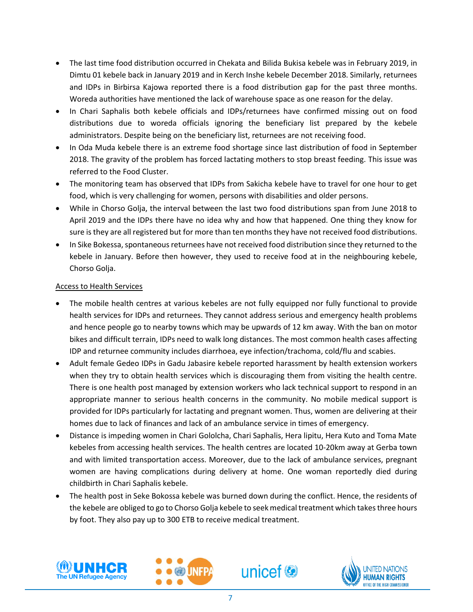- The last time food distribution occurred in Chekata and Bilida Bukisa kebele was in February 2019, in Dimtu 01 kebele back in January 2019 and in Kerch Inshe kebele December 2018. Similarly, returnees and IDPs in Birbirsa Kajowa reported there is a food distribution gap for the past three months. Woreda authorities have mentioned the lack of warehouse space as one reason for the delay.
- In Chari Saphalis both kebele officials and IDPs/returnees have confirmed missing out on food distributions due to woreda officials ignoring the beneficiary list prepared by the kebele administrators. Despite being on the beneficiary list, returnees are not receiving food.
- In Oda Muda kebele there is an extreme food shortage since last distribution of food in September 2018. The gravity of the problem has forced lactating mothers to stop breast feeding. This issue was referred to the Food Cluster.
- The monitoring team has observed that IDPs from Sakicha kebele have to travel for one hour to get food, which is very challenging for women, persons with disabilities and older persons.
- While in Chorso Golja, the interval between the last two food distributions span from June 2018 to April 2019 and the IDPs there have no idea why and how that happened. One thing they know for sure is they are all registered but for more than ten months they have not received food distributions.
- In Sike Bokessa, spontaneous returnees have not received food distribution since they returned to the kebele in January. Before then however, they used to receive food at in the neighbouring kebele, Chorso Golja.

## Access to Health Services

- The mobile health centres at various kebeles are not fully equipped nor fully functional to provide health services for IDPs and returnees. They cannot address serious and emergency health problems and hence people go to nearby towns which may be upwards of 12 km away. With the ban on motor bikes and difficult terrain, IDPs need to walk long distances. The most common health cases affecting IDP and returnee community includes diarrhoea, eye infection/trachoma, cold/flu and scabies.
- Adult female Gedeo IDPs in Gadu Jabasire kebele reported harassment by health extension workers when they try to obtain health services which is discouraging them from visiting the health centre. There is one health post managed by extension workers who lack technical support to respond in an appropriate manner to serious health concerns in the community. No mobile medical support is provided for IDPs particularly for lactating and pregnant women. Thus, women are delivering at their homes due to lack of finances and lack of an ambulance service in times of emergency.
- Distance is impeding women in Chari Gololcha, Chari Saphalis, Hera lipitu, Hera Kuto and Toma Mate kebeles from accessing health services. The health centres are located 10-20km away at Gerba town and with limited transportation access. Moreover, due to the lack of ambulance services, pregnant women are having complications during delivery at home. One woman reportedly died during childbirth in Chari Saphalis kebele.
- The health post in Seke Bokossa kebele was burned down during the conflict. Hence, the residents of the kebele are obliged to go to Chorso Golja kebele to seek medical treatment which takes three hours by foot. They also pay up to 300 ETB to receive medical treatment.







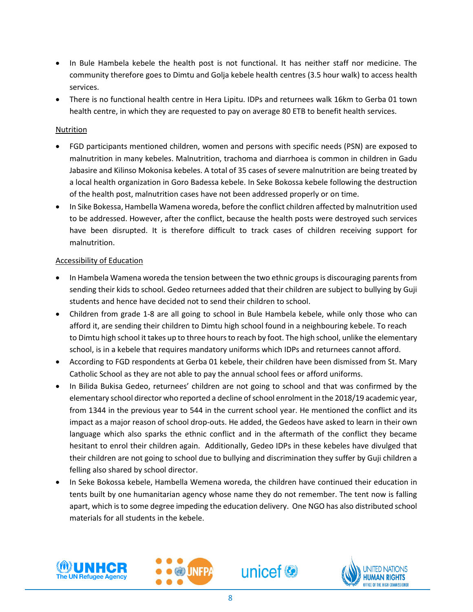- In Bule Hambela kebele the health post is not functional. It has neither staff nor medicine. The community therefore goes to Dimtu and Golja kebele health centres (3.5 hour walk) to access health services.
- There is no functional health centre in Hera Lipitu. IDPs and returnees walk 16km to Gerba 01 town health centre, in which they are requested to pay on average 80 ETB to benefit health services.

#### Nutrition

- FGD participants mentioned children, women and persons with specific needs (PSN) are exposed to malnutrition in many kebeles. Malnutrition, trachoma and diarrhoea is common in children in Gadu Jabasire and Kilinso Mokonisa kebeles. A total of 35 cases of severe malnutrition are being treated by a local health organization in Goro Badessa kebele. In Seke Bokossa kebele following the destruction of the health post, malnutrition cases have not been addressed properly or on time.
- In Sike Bokessa, Hambella Wamena woreda, before the conflict children affected by malnutrition used to be addressed. However, after the conflict, because the health posts were destroyed such services have been disrupted. It is therefore difficult to track cases of children receiving support for malnutrition.

## Accessibility of Education

- In Hambela Wamena woreda the tension between the two ethnic groups is discouraging parents from sending their kids to school. Gedeo returnees added that their children are subject to bullying by Guji students and hence have decided not to send their children to school.
- Children from grade 1-8 are all going to school in Bule Hambela kebele, while only those who can afford it, are sending their children to Dimtu high school found in a neighbouring kebele. To reach to Dimtu high school it takes up to three hours to reach by foot. The high school, unlike the elementary school, is in a kebele that requires mandatory uniforms which IDPs and returnees cannot afford.
- According to FGD respondents at Gerba 01 kebele, their children have been dismissed from St. Mary Catholic School as they are not able to pay the annual school fees or afford uniforms.
- In Bilida Bukisa Gedeo, returnees' children are not going to school and that was confirmed by the elementary school director who reported a decline of school enrolment in the 2018/19 academic year, from 1344 in the previous year to 544 in the current school year. He mentioned the conflict and its impact as a major reason of school drop-outs. He added, the Gedeos have asked to learn in their own language which also sparks the ethnic conflict and in the aftermath of the conflict they became hesitant to enrol their children again. Additionally, Gedeo IDPs in these kebeles have divulged that their children are not going to school due to bullying and discrimination they suffer by Guji children a felling also shared by school director.
- In Seke Bokossa kebele, Hambella Wemena woreda, the children have continued their education in tents built by one humanitarian agency whose name they do not remember. The tent now is falling apart, which is to some degree impeding the education delivery. One NGO has also distributed school materials for all students in the kebele.







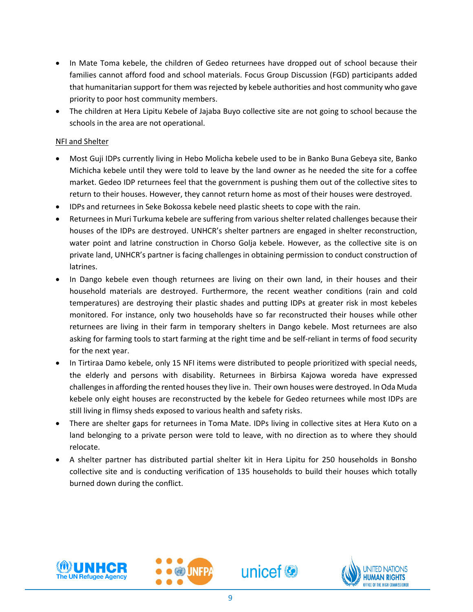- In Mate Toma kebele, the children of Gedeo returnees have dropped out of school because their families cannot afford food and school materials. Focus Group Discussion (FGD) participants added that humanitarian support for them was rejected by kebele authorities and host community who gave priority to poor host community members.
- The children at Hera Lipitu Kebele of Jajaba Buyo collective site are not going to school because the schools in the area are not operational.

## NFI and Shelter

- Most Guji IDPs currently living in Hebo Molicha kebele used to be in Banko Buna Gebeya site, Banko Michicha kebele until they were told to leave by the land owner as he needed the site for a coffee market. Gedeo IDP returnees feel that the government is pushing them out of the collective sites to return to their houses. However, they cannot return home as most of their houses were destroyed.
- IDPs and returnees in Seke Bokossa kebele need plastic sheets to cope with the rain.
- Returnees in Muri Turkuma kebele are suffering from various shelter related challenges because their houses of the IDPs are destroyed. UNHCR's shelter partners are engaged in shelter reconstruction, water point and latrine construction in Chorso Golja kebele. However, as the collective site is on private land, UNHCR's partner is facing challenges in obtaining permission to conduct construction of latrines.
- In Dango kebele even though returnees are living on their own land, in their houses and their household materials are destroyed. Furthermore, the recent weather conditions (rain and cold temperatures) are destroying their plastic shades and putting IDPs at greater risk in most kebeles monitored. For instance, only two households have so far reconstructed their houses while other returnees are living in their farm in temporary shelters in Dango kebele. Most returnees are also asking for farming tools to start farming at the right time and be self-reliant in terms of food security for the next year.
- In Tirtiraa Damo kebele, only 15 NFI items were distributed to people prioritized with special needs, the elderly and persons with disability. Returnees in Birbirsa Kajowa woreda have expressed challenges in affording the rented houses they live in. Their own houses were destroyed. In Oda Muda kebele only eight houses are reconstructed by the kebele for Gedeo returnees while most IDPs are still living in flimsy sheds exposed to various health and safety risks.
- There are shelter gaps for returnees in Toma Mate. IDPs living in collective sites at Hera Kuto on a land belonging to a private person were told to leave, with no direction as to where they should relocate.
- A shelter partner has distributed partial shelter kit in Hera Lipitu for 250 households in Bonsho collective site and is conducting verification of 135 households to build their houses which totally burned down during the conflict.



l,





JNFF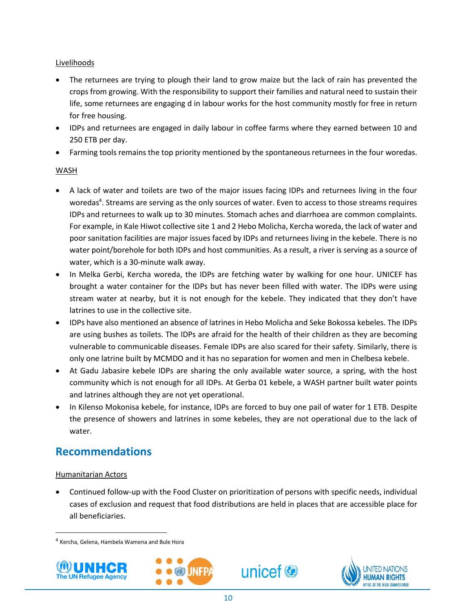# Livelihoods

- The returnees are trying to plough their land to grow maize but the lack of rain has prevented the crops from growing. With the responsibility to support their families and natural need to sustain their life, some returnees are engaging d in labour works for the host community mostly for free in return for free housing.
- IDPs and returnees are engaged in daily labour in coffee farms where they earned between 10 and 250 ETB per day.
- Farming tools remains the top priority mentioned by the spontaneous returnees in the four woredas.

## WASH

- A lack of water and toilets are two of the major issues facing IDPs and returnees living in the four woredas 4 . Streams are serving as the only sources of water. Even to access to those streams requires IDPs and returnees to walk up to 30 minutes. Stomach aches and diarrhoea are common complaints. For example, in Kale Hiwot collective site 1 and 2 Hebo Molicha, Kercha woreda, the lack of water and poor sanitation facilities are major issues faced by IDPs and returnees living in the kebele. There is no water point/borehole for both IDPs and host communities. As a result, a river is serving as a source of water, which is a 30-minute walk away.
- In Melka Gerbi, Kercha woreda, the IDPs are fetching water by walking for one hour. UNICEF has brought a water container for the IDPs but has never been filled with water. The IDPs were using stream water at nearby, but it is not enough for the kebele. They indicated that they don't have latrines to use in the collective site.
- IDPs have also mentioned an absence of latrines in Hebo Molicha and Seke Bokossa kebeles. The IDPs are using bushes as toilets. The IDPs are afraid for the health of their children as they are becoming vulnerable to communicable diseases. Female IDPs are also scared for their safety. Similarly, there is only one latrine built by MCMDO and it has no separation for women and men in Chelbesa kebele.
- At Gadu Jabasire kebele IDPs are sharing the only available water source, a spring, with the host community which is not enough for all IDPs. At Gerba 01 kebele, a WASH partner built water points and latrines although they are not yet operational.
- In Kilenso Mokonisa kebele, for instance, IDPs are forced to buy one pail of water for 1 ETB. Despite the presence of showers and latrines in some kebeles, they are not operational due to the lack of water.

# **Recommendations**

# Humanitarian Actors

• Continued follow-up with the Food Cluster on prioritization of persons with specific needs, individual cases of exclusion and request that food distributions are held in places that are accessible place for all beneficiaries.

unicef<sup>®</sup>

<sup>4</sup> Kercha, Gelena, Hambela Wamena and Bule Hora



l,

 $\overline{a}$ 



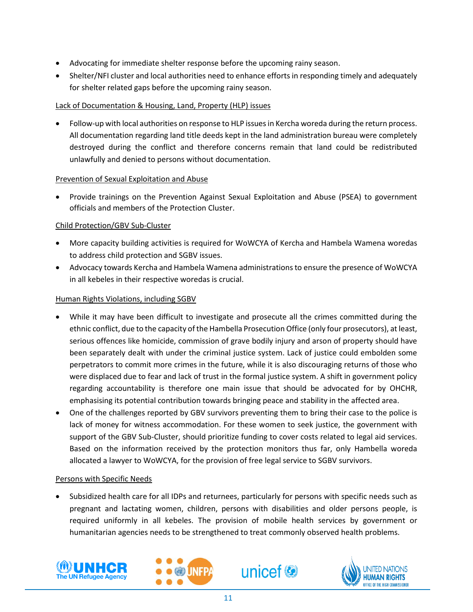- Advocating for immediate shelter response before the upcoming rainy season.
- Shelter/NFI cluster and local authorities need to enhance efforts in responding timely and adequately for shelter related gaps before the upcoming rainy season.

## Lack of Documentation & Housing, Land, Property (HLP) issues

• Follow-up with local authorities on response to HLP issues in Kercha woreda during the return process. All documentation regarding land title deeds kept in the land administration bureau were completely destroyed during the conflict and therefore concerns remain that land could be redistributed unlawfully and denied to persons without documentation.

## Prevention of Sexual Exploitation and Abuse

• Provide trainings on the Prevention Against Sexual Exploitation and Abuse (PSEA) to government officials and members of the Protection Cluster.

## Child Protection/GBV Sub-Cluster

- More capacity building activities is required for WoWCYA of Kercha and Hambela Wamena woredas to address child protection and SGBV issues.
- Advocacy towards Kercha and Hambela Wamena administrations to ensure the presence of WoWCYA in all kebeles in their respective woredas is crucial.

## Human Rights Violations, including SGBV

- While it may have been difficult to investigate and prosecute all the crimes committed during the ethnic conflict, due to the capacity of the Hambella Prosecution Office (only four prosecutors), at least, serious offences like homicide, commission of grave bodily injury and arson of property should have been separately dealt with under the criminal justice system. Lack of justice could embolden some perpetrators to commit more crimes in the future, while it is also discouraging returns of those who were displaced due to fear and lack of trust in the formal justice system. A shift in government policy regarding accountability is therefore one main issue that should be advocated for by OHCHR, emphasising its potential contribution towards bringing peace and stability in the affected area.
- One of the challenges reported by GBV survivors preventing them to bring their case to the police is lack of money for witness accommodation. For these women to seek justice, the government with support of the GBV Sub-Cluster, should prioritize funding to cover costs related to legal aid services. Based on the information received by the protection monitors thus far, only Hambella woreda allocated a lawyer to WoWCYA, for the provision of free legal service to SGBV survivors.

#### Persons with Specific Needs

• Subsidized health care for all IDPs and returnees, particularly for persons with specific needs such as pregnant and lactating women, children, persons with disabilities and older persons people, is required uniformly in all kebeles. The provision of mobile health services by government or humanitarian agencies needs to be strengthened to treat commonly observed health problems.







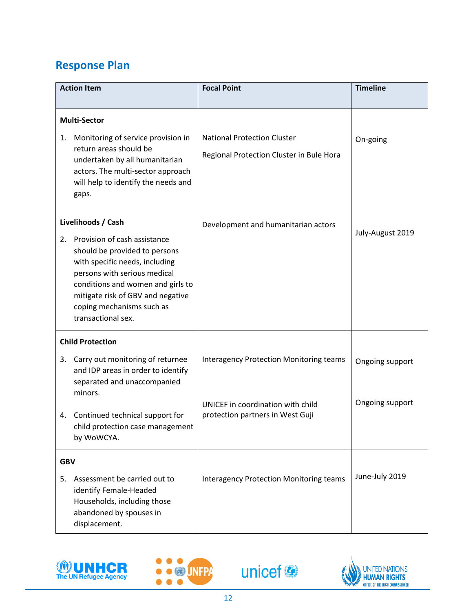# **Response Plan**

| <b>Action Item</b>      |                                                                                                                                                                                                                                                                                    | <b>Focal Point</b>                                                                  | <b>Timeline</b>                    |
|-------------------------|------------------------------------------------------------------------------------------------------------------------------------------------------------------------------------------------------------------------------------------------------------------------------------|-------------------------------------------------------------------------------------|------------------------------------|
|                         |                                                                                                                                                                                                                                                                                    |                                                                                     |                                    |
| <b>Multi-Sector</b>     |                                                                                                                                                                                                                                                                                    |                                                                                     |                                    |
| 1.                      | Monitoring of service provision in<br>return areas should be<br>undertaken by all humanitarian<br>actors. The multi-sector approach<br>will help to identify the needs and<br>gaps.                                                                                                | <b>National Protection Cluster</b><br>Regional Protection Cluster in Bule Hora      | On-going                           |
| 2.                      | Livelihoods / Cash<br>Provision of cash assistance<br>should be provided to persons<br>with specific needs, including<br>persons with serious medical<br>conditions and women and girls to<br>mitigate risk of GBV and negative<br>coping mechanisms such as<br>transactional sex. | Development and humanitarian actors                                                 | July-August 2019                   |
| <b>Child Protection</b> |                                                                                                                                                                                                                                                                                    |                                                                                     |                                    |
| 3.                      | Carry out monitoring of returnee<br>and IDP areas in order to identify<br>separated and unaccompanied<br>minors.                                                                                                                                                                   | <b>Interagency Protection Monitoring teams</b><br>UNICEF in coordination with child | Ongoing support<br>Ongoing support |
|                         | 4. Continued technical support for<br>child protection case management<br>by WoWCYA.                                                                                                                                                                                               | protection partners in West Guji                                                    |                                    |
| <b>GBV</b>              |                                                                                                                                                                                                                                                                                    |                                                                                     |                                    |
| 5.                      | Assessment be carried out to<br>identify Female-Headed<br>Households, including those<br>abandoned by spouses in<br>displacement.                                                                                                                                                  | <b>Interagency Protection Monitoring teams</b>                                      | June-July 2019                     |







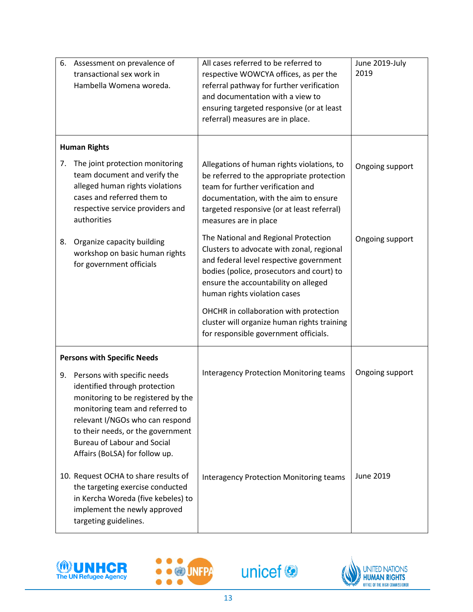| 6.                                 | Assessment on prevalence of<br>transactional sex work in<br>Hambella Womena woreda.                                                                                                                                                                                                   | All cases referred to be referred to<br>respective WOWCYA offices, as per the<br>referral pathway for further verification<br>and documentation with a view to<br>ensuring targeted responsive (or at least<br>referral) measures are in place.   | June 2019-July<br>2019 |
|------------------------------------|---------------------------------------------------------------------------------------------------------------------------------------------------------------------------------------------------------------------------------------------------------------------------------------|---------------------------------------------------------------------------------------------------------------------------------------------------------------------------------------------------------------------------------------------------|------------------------|
| <b>Human Rights</b>                |                                                                                                                                                                                                                                                                                       |                                                                                                                                                                                                                                                   |                        |
| 7.                                 | The joint protection monitoring<br>team document and verify the<br>alleged human rights violations<br>cases and referred them to<br>respective service providers and<br>authorities                                                                                                   | Allegations of human rights violations, to<br>be referred to the appropriate protection<br>team for further verification and<br>documentation, with the aim to ensure<br>targeted responsive (or at least referral)<br>measures are in place      | Ongoing support        |
| 8.                                 | Organize capacity building<br>workshop on basic human rights<br>for government officials                                                                                                                                                                                              | The National and Regional Protection<br>Clusters to advocate with zonal, regional<br>and federal level respective government<br>bodies (police, prosecutors and court) to<br>ensure the accountability on alleged<br>human rights violation cases | Ongoing support        |
|                                    |                                                                                                                                                                                                                                                                                       | OHCHR in collaboration with protection<br>cluster will organize human rights training<br>for responsible government officials.                                                                                                                    |                        |
| <b>Persons with Specific Needs</b> |                                                                                                                                                                                                                                                                                       |                                                                                                                                                                                                                                                   |                        |
| 9.                                 | Persons with specific needs<br>identified through protection<br>monitoring to be registered by the<br>monitoring team and referred to<br>relevant I/NGOs who can respond<br>to their needs, or the government<br><b>Bureau of Labour and Social</b><br>Affairs (BoLSA) for follow up. | <b>Interagency Protection Monitoring teams</b>                                                                                                                                                                                                    | Ongoing support        |
|                                    | 10. Request OCHA to share results of<br>the targeting exercise conducted<br>in Kercha Woreda (five kebeles) to<br>implement the newly approved<br>targeting guidelines.                                                                                                               | <b>Interagency Protection Monitoring teams</b>                                                                                                                                                                                                    | June 2019              |